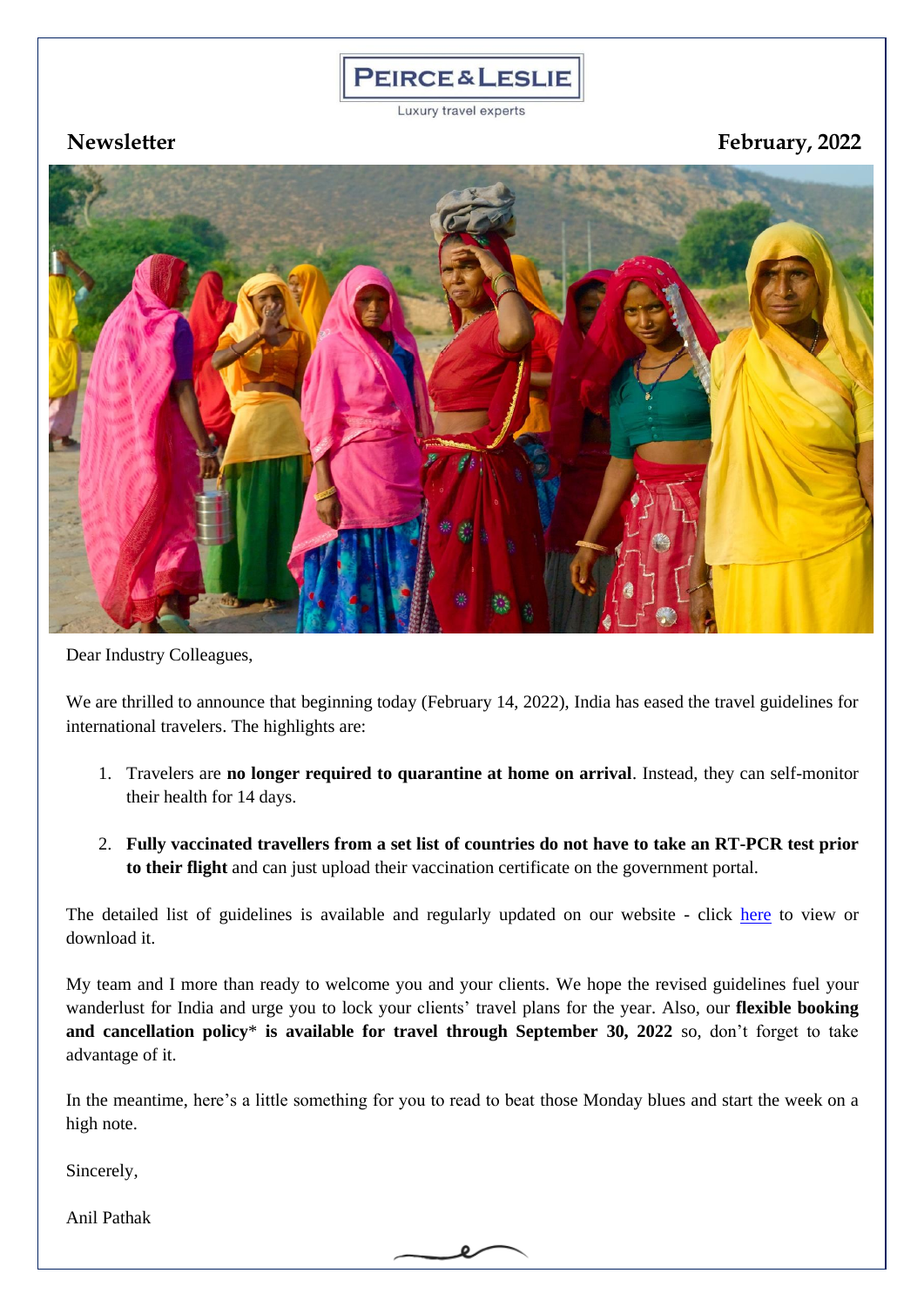## **PEIRCE&LESLIE**

Luxury travel experts

**Newsletter February, 2022**



Dear Industry Colleagues,

We are thrilled to announce that beginning today (February 14, 2022), India has eased the travel guidelines for international travelers. The highlights are:

- 1. Travelers are **no longer required to quarantine at home on arrival**. Instead, they can self-monitor their health for 14 days.
- 2. **Fully vaccinated travellers from a set list of countries do not have to take an RT-PCR test prior to their flight** and can just upload their vaccination certificate on the government portal.

The detailed list of guidelines is available and regularly updated on our website - click [here](https://www.peirceandleslie.com/pdf/Travel-Advisory&Guidelines.pdf) to view or download it.

My team and I more than ready to welcome you and your clients. We hope the revised guidelines fuel your wanderlust for India and urge you to lock your clients' travel plans for the year. Also, our **flexible booking and cancellation policy**\* **is available for travel through September 30, 2022** so, don't forget to take advantage of it.

In the meantime, here's a little something for you to read to beat those Monday blues and start the week on a high note.

Sincerely,

Anil Pathak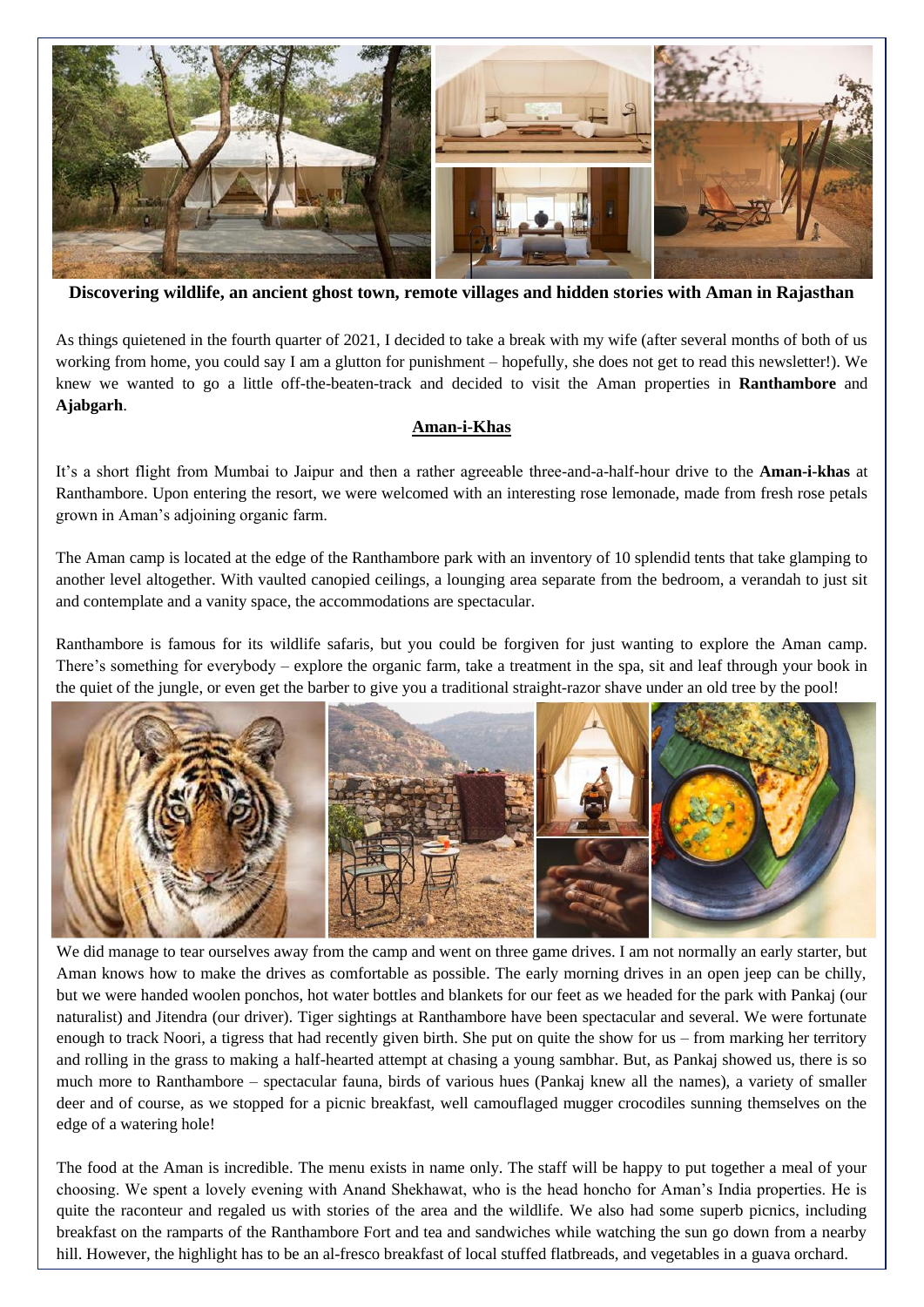

**Discovering wildlife, an ancient ghost town, remote villages and hidden stories with Aman in Rajasthan**

As things quietened in the fourth quarter of 2021, I decided to take a break with my wife (after several months of both of us working from home, you could say I am a glutton for punishment – hopefully, she does not get to read this newsletter!). We knew we wanted to go a little off-the-beaten-track and decided to visit the Aman properties in **Ranthambore** and **Ajabgarh**.

## **Aman-i-Khas**

It's a short flight from Mumbai to Jaipur and then a rather agreeable three-and-a-half-hour drive to the **Aman-i-khas** at Ranthambore. Upon entering the resort, we were welcomed with an interesting rose lemonade, made from fresh rose petals grown in Aman's adjoining organic farm.

The Aman camp is located at the edge of the Ranthambore park with an inventory of 10 splendid tents that take glamping to another level altogether. With vaulted canopied ceilings, a lounging area separate from the bedroom, a verandah to just sit and contemplate and a vanity space, the accommodations are spectacular.

Ranthambore is famous for its wildlife safaris, but you could be forgiven for just wanting to explore the Aman camp. There's something for everybody – explore the organic farm, take a treatment in the spa, sit and leaf through your book in the quiet of the jungle, or even get the barber to give you a traditional straight-razor shave under an old tree by the pool!



We did manage to tear ourselves away from the camp and went on three game drives. I am not normally an early starter, but Aman knows how to make the drives as comfortable as possible. The early morning drives in an open jeep can be chilly, but we were handed woolen ponchos, hot water bottles and blankets for our feet as we headed for the park with Pankaj (our naturalist) and Jitendra (our driver). Tiger sightings at Ranthambore have been spectacular and several. We were fortunate enough to track Noori, a tigress that had recently given birth. She put on quite the show for us – from marking her territory and rolling in the grass to making a half-hearted attempt at chasing a young sambhar. But, as Pankaj showed us, there is so much more to Ranthambore – spectacular fauna, birds of various hues (Pankaj knew all the names), a variety of smaller deer and of course, as we stopped for a picnic breakfast, well camouflaged mugger crocodiles sunning themselves on the edge of a watering hole!

The food at the Aman is incredible. The menu exists in name only. The staff will be happy to put together a meal of your choosing. We spent a lovely evening with Anand Shekhawat, who is the head honcho for Aman's India properties. He is quite the raconteur and regaled us with stories of the area and the wildlife. We also had some superb picnics, including breakfast on the ramparts of the Ranthambore Fort and tea and sandwiches while watching the sun go down from a nearby hill. However, the highlight has to be an al-fresco breakfast of local stuffed flatbreads, and vegetables in a guava orchard.